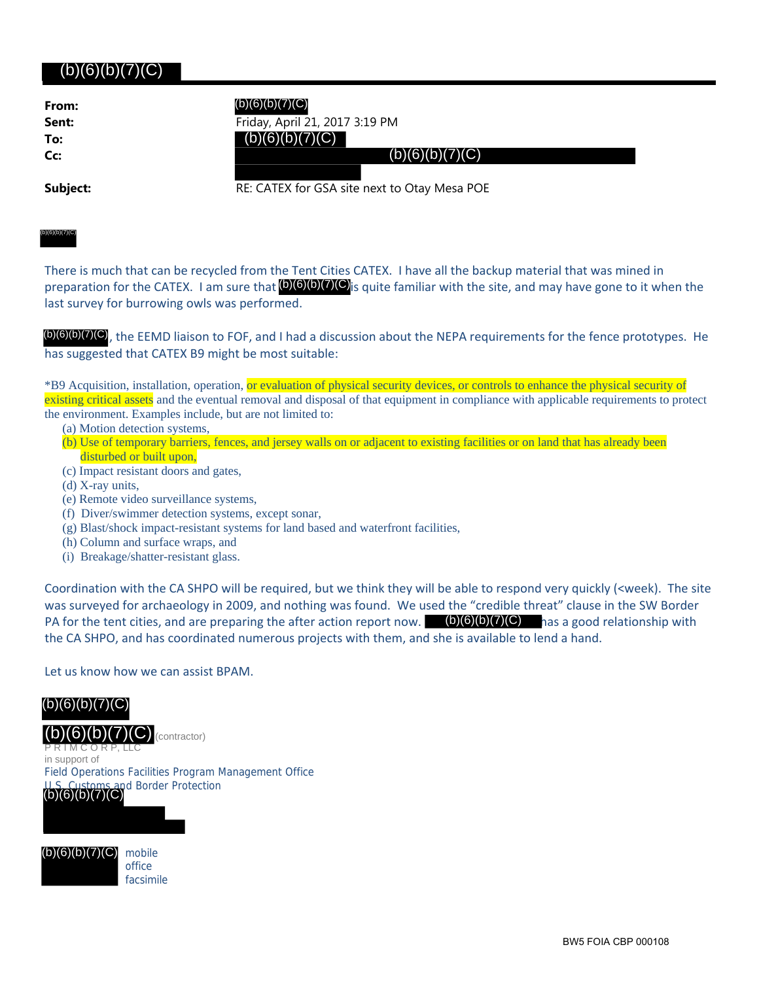## (b)(6)(b)(7)(C)

| From: |  |
|-------|--|
| Sent: |  |
| To:   |  |
| Cc:   |  |

**Sent:** Friday, April 21, 2017 3:19 PM

 $(b)(6)(b)(7)(C)$ 

**Subject: RE: CATEX for GSA site next to Otay Mesa POE** 

(b)(6)(b)(7)(C)

There is much that can be recycled from the Tent Cities CATEX. I have all the backup material that was mined in preparation for the CATEX. I am sure that (b)(6)(b)(7)(C) is quite familiar with the site, and may have gone to it when the last survey for burrowing owls was performed.

(b)(6)(b)(7)(C)<sub>,</sub> the EEMD liaison to FOF, and I had a discussion about the NEPA requirements for the fence prototypes. He has suggested that CATEX B9 might be most suitable:

\*B9 Acquisition, installation, operation, or evaluation of physical security devices, or controls to enhance the physical security of existing critical assets and the eventual removal and disposal of that equipment in compliance with applicable requirements to protect the environment. Examples include, but are not limited to:

- (a) Motion detection systems,
- (b) Use of temporary barriers, fences, and jersey walls on or adjacent to existing facilities or on land that has already been disturbed or built upon,
- (c) Impact resistant doors and gates,
- (d) X-ray units,
- (e) Remote video surveillance systems,
- (f) Diver/swimmer detection systems, except sonar,
- (g) Blast/shock impact-resistant systems for land based and waterfront facilities,
- (h) Column and surface wraps, and
- (i) Breakage/shatter-resistant glass.

Coordination with the CA SHPO will be required, but we think they will be able to respond very quickly (<week). The site was surveyed for archaeology in 2009, and nothing was found. We used the "credible threat" clause in the SW Border PA for the tent cities, and are preparing the after action report now. (b)(6)(b)(7)(C) has a good relationship with the CA SHPO, and has coordinated numerous projects with them, and she is available to lend a hand. **From:**<br> **Sent:**<br> **Friday, April 21, 20**<br> **Cr.**<br> **Cr.**<br> **Cr.**<br> **Cr.**<br> **Cr.**<br> **Cr.**<br> **Cr.**<br> **Cr.**<br> **Cr.**<br> **Cr.**<br> **Cr.**<br> **Cr.**<br> **Cr.**<br> **Cr.**<br> **Cr.**<br> **Cr.**<br> **Cr.**<br> **Cr.**<br> **Cr.**<br> **Cr.**<br> **Cr.**<br> **Cr.**<br> **Cr.**<br> **Cr.**<br> **Cr.**<br> **Cr.** 

## Let us know how we can assist BPAM.